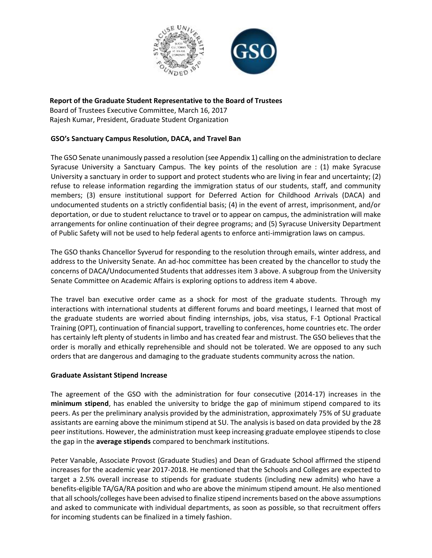

# **Report of the Graduate Student Representative to the Board of Trustees**

Board of Trustees Executive Committee, March 16, 2017 Rajesh Kumar, President, Graduate Student Organization

# **GSO's Sanctuary Campus Resolution, DACA, and Travel Ban**

The GSO Senate unanimously passed a resolution (see Appendix 1) calling on the administration to declare Syracuse University a Sanctuary Campus. The key points of the resolution are : (1) make Syracuse University a sanctuary in order to support and protect students who are living in fear and uncertainty; (2) refuse to release information regarding the immigration status of our students, staff, and community members; (3) ensure institutional support for Deferred Action for Childhood Arrivals (DACA) and undocumented students on a strictly confidential basis; (4) in the event of arrest, imprisonment, and/or deportation, or due to student reluctance to travel or to appear on campus, the administration will make arrangements for online continuation of their degree programs; and (5) Syracuse University Department of Public Safety will not be used to help federal agents to enforce anti-immigration laws on campus.

The GSO thanks Chancellor Syverud for responding to the resolution through emails, winter address, and address to the University Senate. An ad-hoc committee has been created by the chancellor to study the concerns of DACA/Undocumented Students that addresses item 3 above. A subgroup from the University Senate Committee on Academic Affairs is exploring options to address item 4 above.

The travel ban executive order came as a shock for most of the graduate students. Through my interactions with international students at different forums and board meetings, I learned that most of the graduate students are worried about finding internships, jobs, visa status, F-1 Optional Practical Training (OPT), continuation of financial support, travelling to conferences, home countries etc. The order has certainly left plenty of students in limbo and has created fear and mistrust. The GSO believes that the order is morally and ethically reprehensible and should not be tolerated. We are opposed to any such orders that are dangerous and damaging to the graduate students community across the nation.

#### **Graduate Assistant Stipend Increase**

The agreement of the GSO with the administration for four consecutive (2014-17) increases in the **minimum stipend**, has enabled the university to bridge the gap of minimum stipend compared to its peers. As per the preliminary analysis provided by the administration, approximately 75% of SU graduate assistants are earning above the minimum stipend at SU. The analysis is based on data provided by the 28 peer institutions. However, the administration must keep increasing graduate employee stipends to close the gap in the **average stipends** compared to benchmark institutions.

Peter Vanable, Associate Provost (Graduate Studies) and Dean of Graduate School affirmed the stipend increases for the academic year 2017-2018. He mentioned that the Schools and Colleges are expected to target a 2.5% overall increase to stipends for graduate students (including new admits) who have a benefits-eligible TA/GA/RA position and who are above the minimum stipend amount. He also mentioned that all schools/colleges have been advised to finalize stipend increments based on the above assumptions and asked to communicate with individual departments, as soon as possible, so that recruitment offers for incoming students can be finalized in a timely fashion.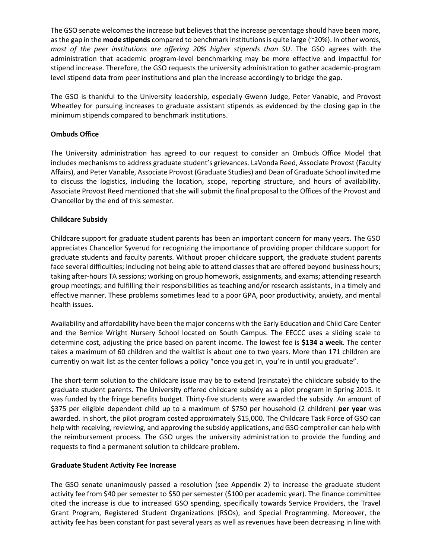The GSO senate welcomes the increase but believes that the increase percentage should have been more, as the gap in the **mode stipends** compared to benchmark institutions is quite large (~20%). In other words, *most of the peer institutions are offering 20% higher stipends than SU*. The GSO agrees with the administration that academic program-level benchmarking may be more effective and impactful for stipend increase. Therefore, the GSO requests the university administration to gather academic-program level stipend data from peer institutions and plan the increase accordingly to bridge the gap.

The GSO is thankful to the University leadership, especially Gwenn Judge, Peter Vanable, and Provost Wheatley for pursuing increases to graduate assistant stipends as evidenced by the closing gap in the minimum stipends compared to benchmark institutions.

# **Ombuds Office**

The University administration has agreed to our request to consider an Ombuds Office Model that includes mechanisms to address graduate student's grievances. LaVonda Reed, Associate Provost (Faculty Affairs), and Peter Vanable, Associate Provost (Graduate Studies) and Dean of Graduate School invited me to discuss the logistics, including the location, scope, reporting structure, and hours of availability. Associate Provost Reed mentioned that she will submit the final proposal to the Offices of the Provost and Chancellor by the end of this semester.

## **Childcare Subsidy**

Childcare support for graduate student parents has been an important concern for many years. The GSO appreciates Chancellor Syverud for recognizing the importance of providing proper childcare support for graduate students and faculty parents. Without proper childcare support, the graduate student parents face several difficulties; including not being able to attend classes that are offered beyond business hours; taking after-hours TA sessions; working on group homework, assignments, and exams; attending research group meetings; and fulfilling their responsibilities as teaching and/or research assistants, in a timely and effective manner. These problems sometimes lead to a poor GPA, poor productivity, anxiety, and mental health issues.

Availability and affordability have been the major concerns with the Early Education and Child Care Center and the Bernice Wright Nursery School located on South Campus. The EECCC uses a sliding scale to determine cost, adjusting the price based on parent income. The lowest fee is **\$134 a week**. The center takes a maximum of 60 children and the waitlist is about one to two years. More than 171 children are currently on wait list as the center follows a policy "once you get in, you're in until you graduate".

The short-term solution to the childcare issue may be to extend (reinstate) the childcare subsidy to the graduate student parents. The University offered childcare subsidy as a pilot program in Spring 2015. It was funded by the fringe benefits budget. Thirty-five students were awarded the subsidy. An amount of \$375 per eligible dependent child up to a maximum of \$750 per household (2 children) **per year** was awarded. In short, the pilot program costed approximately \$15,000. The Childcare Task Force of GSO can help with receiving, reviewing, and approving the subsidy applications, and GSO comptroller can help with the reimbursement process. The GSO urges the university administration to provide the funding and requests to find a permanent solution to childcare problem.

#### **Graduate Student Activity Fee Increase**

The GSO senate unanimously passed a resolution (see Appendix 2) to increase the graduate student activity fee from \$40 per semester to \$50 per semester (\$100 per academic year). The finance committee cited the increase is due to increased GSO spending, specifically towards Service Providers, the Travel Grant Program, Registered Student Organizations (RSOs), and Special Programming. Moreover, the activity fee has been constant for past several years as well as revenues have been decreasing in line with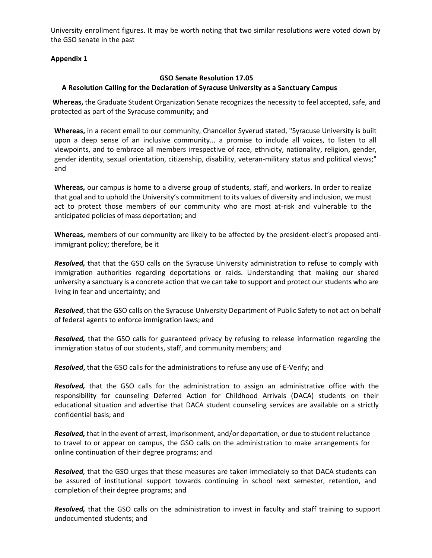University enrollment figures. It may be worth noting that two similar resolutions were voted down by the GSO senate in the past

## **Appendix 1**

## **GSO Senate Resolution 17.05**

## **A Resolution Calling for the Declaration of Syracuse University as a Sanctuary Campus**

**Whereas,** the Graduate Student Organization Senate recognizes the necessity to feel accepted, safe, and protected as part of the Syracuse community; and

**Whereas,** in a recent email to our community, Chancellor Syverud stated, "Syracuse University is built upon a deep sense of an inclusive community... a promise to include all voices, to listen to all viewpoints, and to embrace all members irrespective of race, ethnicity, nationality, religion, gender, gender identity, sexual orientation, citizenship, disability, veteran-military status and political views;" and

**Whereas***,* our campus is home to a diverse group of students, staff, and workers. In order to realize that goal and to uphold the University's commitment to its values of diversity and inclusion, we must act to protect those members of our community who are most at-risk and vulnerable to the anticipated policies of mass deportation; and

**Whereas,** members of our community are likely to be affected by the president-elect's proposed antiimmigrant policy; therefore, be it

*Resolved,* that that the GSO calls on the Syracuse University administration to refuse to comply with immigration authorities regarding deportations or raids. Understanding that making our shared university a sanctuary is a concrete action that we can take to support and protect our students who are living in fear and uncertainty; and

*Resolved*, that the GSO calls on the Syracuse University Department of Public Safety to not act on behalf of federal agents to enforce immigration laws; and

*Resolved,* that the GSO calls for guaranteed privacy by refusing to release information regarding the immigration status of our students, staff, and community members; and

*Resolved***,** that the GSO calls for the administrations to refuse any use of E-Verify; and

*Resolved,* that the GSO calls for the administration to assign an administrative office with the responsibility for counseling Deferred Action for Childhood Arrivals (DACA) students on their educational situation and advertise that DACA student counseling services are available on a strictly confidential basis; and

*Resolved,* that in the event of arrest, imprisonment, and/or deportation, or due to student reluctance to travel to or appear on campus, the GSO calls on the administration to make arrangements for online continuation of their degree programs; and

*Resolved,* that the GSO urges that these measures are taken immediately so that DACA students can be assured of institutional support towards continuing in school next semester, retention, and completion of their degree programs; and

*Resolved,* that the GSO calls on the administration to invest in faculty and staff training to support undocumented students; and